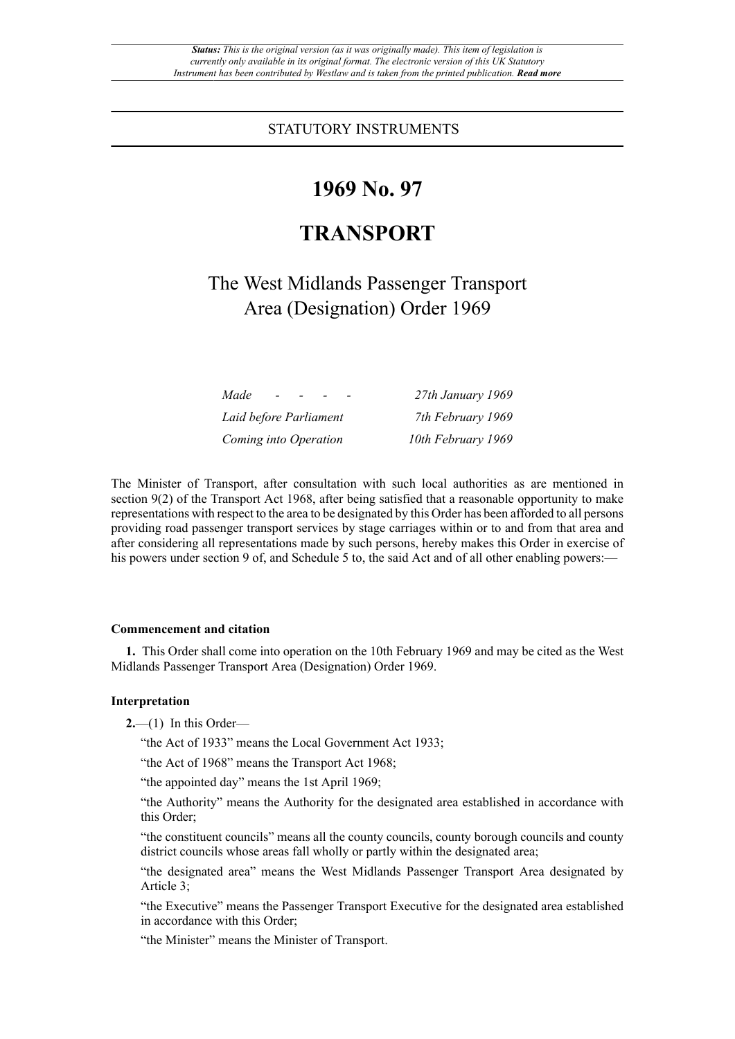STATUTORY INSTRUMENTS

# **1969 No. 97**

# **TRANSPORT**

The West Midlands Passenger Transport Area (Designation) Order 1969

| Made<br>$\sim$         | 27th January 1969  |
|------------------------|--------------------|
| Laid before Parliament | 7th February 1969  |
| Coming into Operation  | 10th February 1969 |

The Minister of Transport, after consultation with such local authorities as are mentioned in section 9(2) of the Transport Act 1968, after being satisfied that a reasonable opportunity to make representations with respect to the area to be designated by this Order has been afforded to all persons providing road passenger transport services by stage carriages within or to and from that area and after considering all representations made by such persons, hereby makes this Order in exercise of his powers under section 9 of, and Schedule 5 to, the said Act and of all other enabling powers:—

#### **Commencement and citation**

**1.** This Order shall come into operation on the 10th February 1969 and may be cited as the West Midlands Passenger Transport Area (Designation) Order 1969.

## **Interpretation**

**2.**—(1) In this Order—

"the Act of 1933" means the Local Government Act 1933;

"the Act of 1968" means the Transport Act 1968;

"the appointed day" means the 1st April 1969;

"the Authority" means the Authority for the designated area established in accordance with this Order;

"the constituent councils" means all the county councils, county borough councils and county district councils whose areas fall wholly or partly within the designated area;

"the designated area" means the West Midlands Passenger Transport Area designated by Article 3;

"the Executive" means the Passenger Transport Executive for the designated area established in accordance with this Order;

"the Minister" means the Minister of Transport.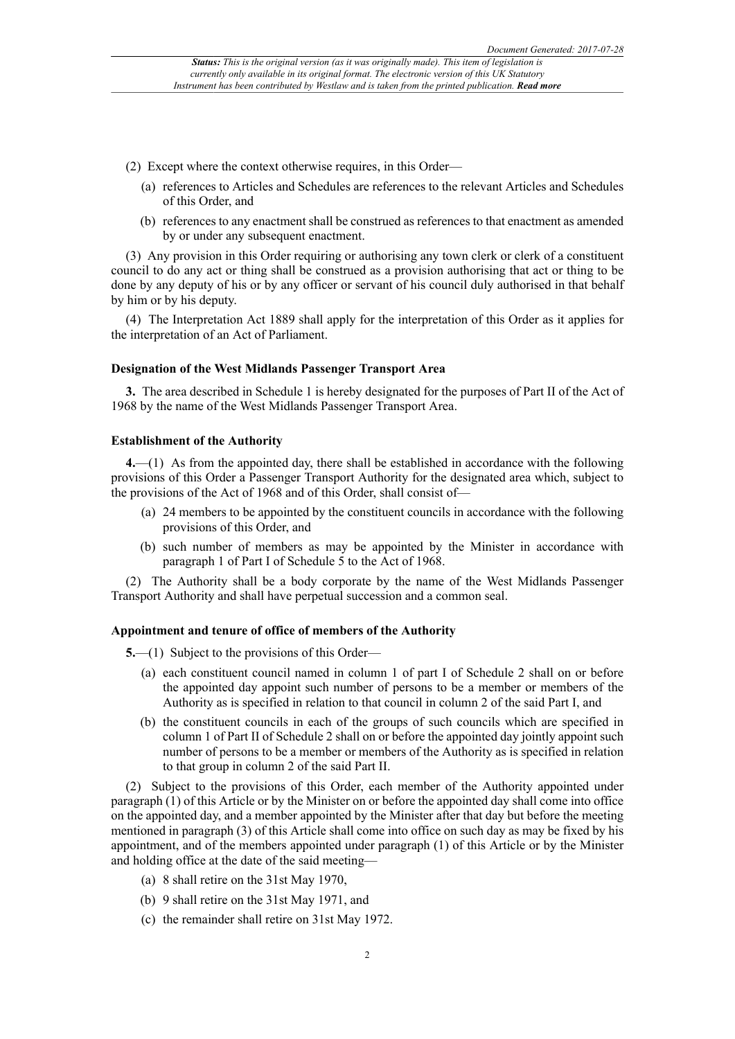- (2) Except where the context otherwise requires, in this Order—
	- (a) references to Articles and Schedules are references to the relevant Articles and Schedules of this Order, and
	- (b) references to any enactment shall be construed as references to that enactment as amended by or under any subsequent enactment.

(3) Any provision in this Order requiring or authorising any town clerk or clerk of a constituent council to do any act or thing shall be construed as a provision authorising that act or thing to be done by any deputy of his or by any officer or servant of his council duly authorised in that behalf by him or by his deputy.

(4) The Interpretation Act 1889 shall apply for the interpretation of this Order as it applies for the interpretation of an Act of Parliament.

#### **Designation of the West Midlands Passenger Transport Area**

**3.** The area described in Schedule 1 is hereby designated for the purposes of Part II of the Act of 1968 by the name of the West Midlands Passenger Transport Area.

### **Establishment of the Authority**

**4.**—(1) As from the appointed day, there shall be established in accordance with the following provisions of this Order a Passenger Transport Authority for the designated area which, subject to the provisions of the Act of 1968 and of this Order, shall consist of—

- (a) 24 members to be appointed by the constituent councils in accordance with the following provisions of this Order, and
- (b) such number of members as may be appointed by the Minister in accordance with paragraph 1 of Part I of Schedule 5 to the Act of 1968.

(2) The Authority shall be a body corporate by the name of the West Midlands Passenger Transport Authority and shall have perpetual succession and a common seal.

#### **Appointment and tenure of office of members of the Authority**

**5.**—(1) Subject to the provisions of this Order—

- (a) each constituent council named in column 1 of part I of Schedule 2 shall on or before the appointed day appoint such number of persons to be a member or members of the Authority as is specified in relation to that council in column 2 of the said Part I, and
- (b) the constituent councils in each of the groups of such councils which are specified in column 1 of Part II of Schedule 2 shall on or before the appointed day jointly appoint such number of persons to be a member or members of the Authority as is specified in relation to that group in column 2 of the said Part II.

(2) Subject to the provisions of this Order, each member of the Authority appointed under paragraph (1) of this Article or by the Minister on or before the appointed day shall come into office on the appointed day, and a member appointed by the Minister after that day but before the meeting mentioned in paragraph (3) of this Article shall come into office on such day as may be fixed by his appointment, and of the members appointed under paragraph (1) of this Article or by the Minister and holding office at the date of the said meeting—

- (a) 8 shall retire on the 31st May 1970,
- (b) 9 shall retire on the 31st May 1971, and
- (c) the remainder shall retire on 31st May 1972.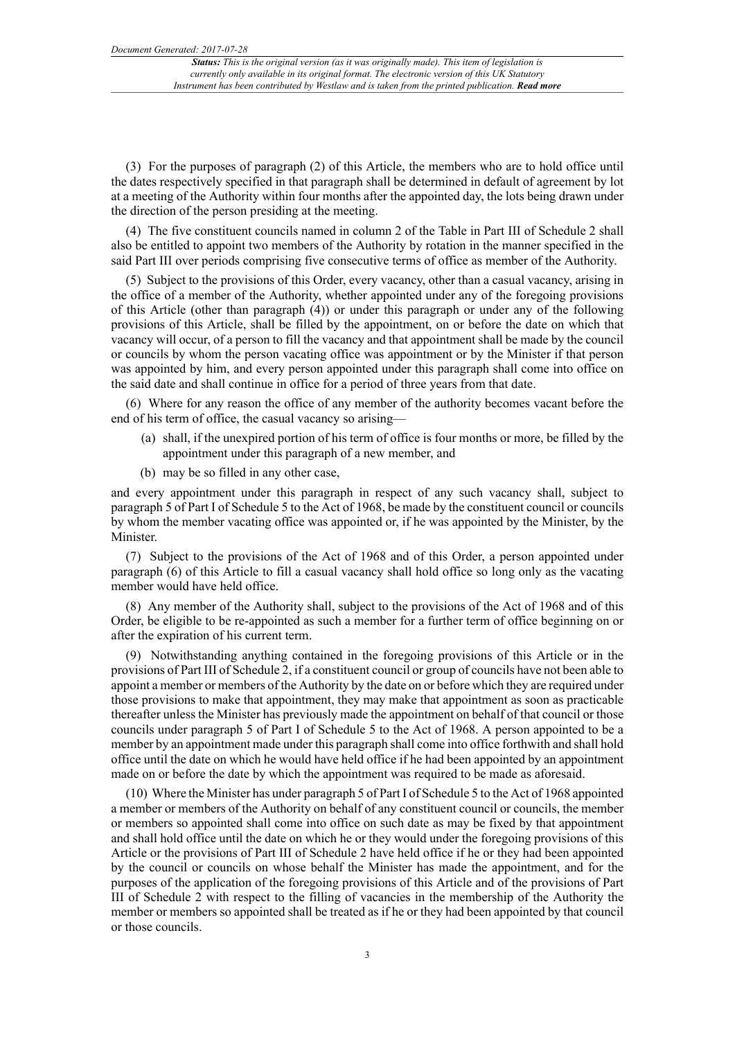(3) For the purposes of paragraph (2) of this Article, the members who are to hold office until the dates respectively specified in that paragraph shall be determined in default of agreement by lot at a meeting of the Authority within four months after the appointed day, the lots being drawn under the direction of the person presiding at the meeting.

(4) The five constituent councils named in column 2 of the Table in Part III of Schedule 2 shall also be entitled to appoint two members of the Authority by rotation in the manner specified in the said Part III over periods comprising five consecutive terms of office as member of the Authority.

(5) Subject to the provisions of this Order, every vacancy, other than a casual vacancy, arising in the office of a member of the Authority, whether appointed under any of the foregoing provisions of this Article (other than paragraph (4)) or under this paragraph or under any of the following provisions of this Article, shall be filled by the appointment, on or before the date on which that vacancy will occur, of a person to fill the vacancy and that appointment shall be made by the council or councils by whom the person vacating office was appointment or by the Minister if that person was appointed by him, and every person appointed under this paragraph shall come into office on the said date and shall continue in office for a period of three years from that date.

(6) Where for any reason the office of any member of the authority becomes vacant before the end of his term of office, the casual vacancy so arising—

- (a) shall, if the unexpired portion of his term of office is four months or more, be filled by the appointment under this paragraph of a new member, and
- (b) may be so filled in any other case,

and every appointment under this paragraph in respect of any such vacancy shall, subject to paragraph 5 of Part I of Schedule 5 to the Act of 1968, be made by the constituent council or councils by whom the member vacating office was appointed or, if he was appointed by the Minister, by the Minister.

(7) Subject to the provisions of the Act of 1968 and of this Order, a person appointed under paragraph (6) of this Article to fill a casual vacancy shall hold office so long only as the vacating member would have held office.

(8) Any member of the Authority shall, subject to the provisions of the Act of 1968 and of this Order, be eligible to be re-appointed as such a member for a further term of office beginning on or after the expiration of his current term.

(9) Notwithstanding anything contained in the foregoing provisions of this Article or in the provisions of Part III of Schedule 2, if a constituent council or group of councils have not been able to appoint a member or members of the Authority by the date on or before which they are required under those provisions to make that appointment, they may make that appointment as soon as practicable thereafter unless the Minister has previously made the appointment on behalf of that council or those councils under paragraph 5 of Part I of Schedule 5 to the Act of 1968. A person appointed to be a member by an appointment made under this paragraph shall come into office forthwith and shall hold office until the date on which he would have held office if he had been appointed by an appointment made on or before the date by which the appointment was required to be made as aforesaid.

(10) Where the Minister has under paragraph 5 of Part I of Schedule 5 to the Act of 1968 appointed a member or members of the Authority on behalf of any constituent council or councils, the member or members so appointed shall come into office on such date as may be fixed by that appointment and shall hold office until the date on which he or they would under the foregoing provisions of this Article or the provisions of Part III of Schedule 2 have held office if he or they had been appointed by the council or councils on whose behalf the Minister has made the appointment, and for the purposes of the application of the foregoing provisions of this Article and of the provisions of Part III of Schedule 2 with respect to the filling of vacancies in the membership of the Authority the member or members so appointed shall be treated as if he or they had been appointed by that council or those councils.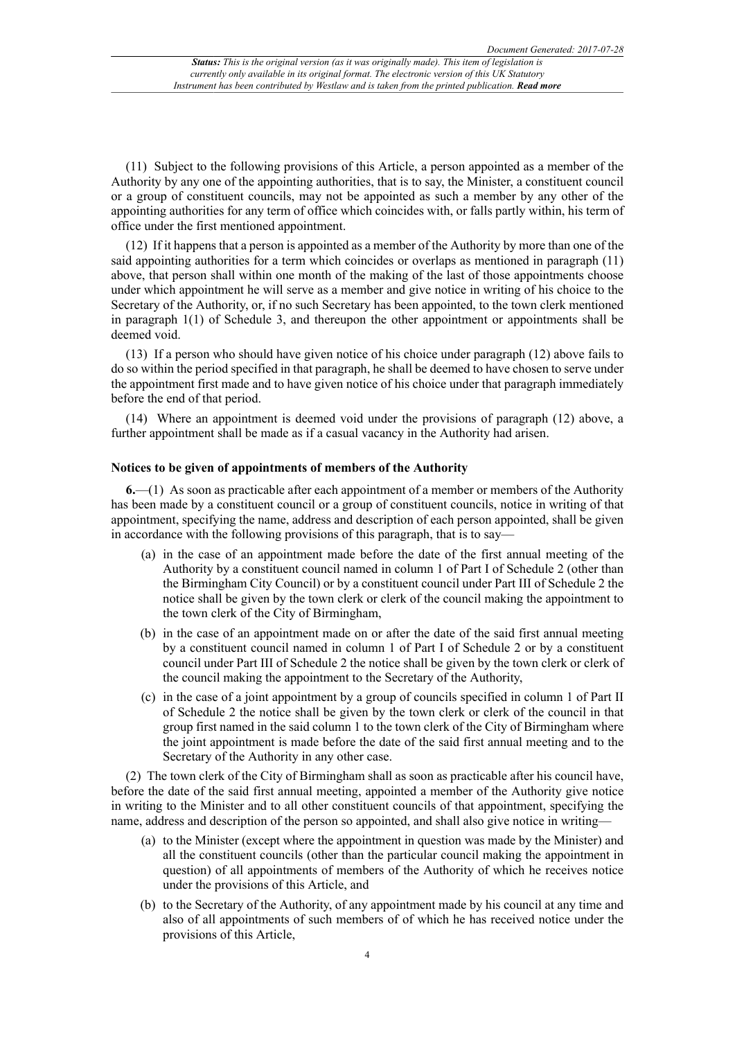(11) Subject to the following provisions of this Article, a person appointed as a member of the Authority by any one of the appointing authorities, that is to say, the Minister, a constituent council or a group of constituent councils, may not be appointed as such a member by any other of the appointing authorities for any term of office which coincides with, or falls partly within, his term of office under the first mentioned appointment.

(12) If it happens that a person is appointed as a member of the Authority by more than one of the said appointing authorities for a term which coincides or overlaps as mentioned in paragraph (11) above, that person shall within one month of the making of the last of those appointments choose under which appointment he will serve as a member and give notice in writing of his choice to the Secretary of the Authority, or, if no such Secretary has been appointed, to the town clerk mentioned in paragraph  $1(1)$  of Schedule 3, and thereupon the other appointment or appointments shall be deemed void.

(13) If a person who should have given notice of his choice under paragraph (12) above fails to do so within the period specified in that paragraph, he shall be deemed to have chosen to serve under the appointment first made and to have given notice of his choice under that paragraph immediately before the end of that period.

(14) Where an appointment is deemed void under the provisions of paragraph (12) above, a further appointment shall be made as if a casual vacancy in the Authority had arisen.

## **Notices to be given of appointments of members of the Authority**

**6.**—(1) As soon as practicable after each appointment of a member or members of the Authority has been made by a constituent council or a group of constituent councils, notice in writing of that appointment, specifying the name, address and description of each person appointed, shall be given in accordance with the following provisions of this paragraph, that is to say—

- (a) in the case of an appointment made before the date of the first annual meeting of the Authority by a constituent council named in column 1 of Part I of Schedule 2 (other than the Birmingham City Council) or by a constituent council under Part III of Schedule 2 the notice shall be given by the town clerk or clerk of the council making the appointment to the town clerk of the City of Birmingham,
- (b) in the case of an appointment made on or after the date of the said first annual meeting by a constituent council named in column 1 of Part I of Schedule 2 or by a constituent council under Part III of Schedule 2 the notice shall be given by the town clerk or clerk of the council making the appointment to the Secretary of the Authority,
- (c) in the case of a joint appointment by a group of councils specified in column 1 of Part II of Schedule 2 the notice shall be given by the town clerk or clerk of the council in that group first named in the said column 1 to the town clerk of the City of Birmingham where the joint appointment is made before the date of the said first annual meeting and to the Secretary of the Authority in any other case.

(2) The town clerk of the City of Birmingham shall as soon as practicable after his council have, before the date of the said first annual meeting, appointed a member of the Authority give notice in writing to the Minister and to all other constituent councils of that appointment, specifying the name, address and description of the person so appointed, and shall also give notice in writing—

- (a) to the Minister (except where the appointment in question was made by the Minister) and all the constituent councils (other than the particular council making the appointment in question) of all appointments of members of the Authority of which he receives notice under the provisions of this Article, and
- (b) to the Secretary of the Authority, of any appointment made by his council at any time and also of all appointments of such members of of which he has received notice under the provisions of this Article,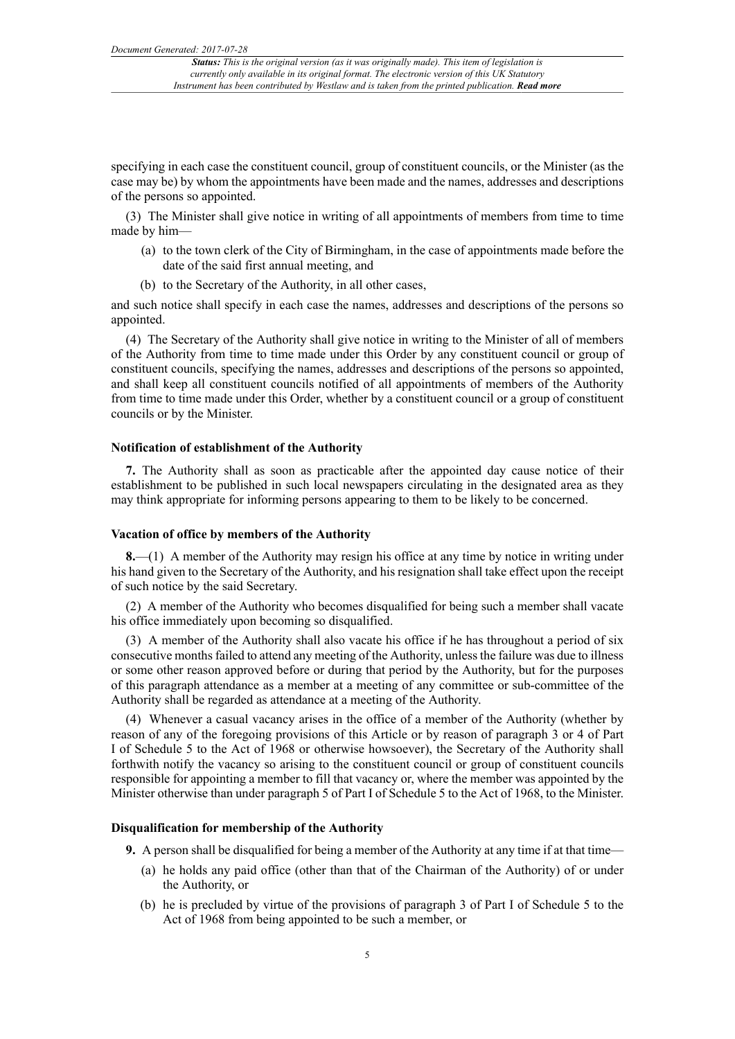specifying in each case the constituent council, group of constituent councils, or the Minister (as the case may be) by whom the appointments have been made and the names, addresses and descriptions of the persons so appointed.

(3) The Minister shall give notice in writing of all appointments of members from time to time made by him—

- (a) to the town clerk of the City of Birmingham, in the case of appointments made before the date of the said first annual meeting, and
- (b) to the Secretary of the Authority, in all other cases,

and such notice shall specify in each case the names, addresses and descriptions of the persons so appointed.

(4) The Secretary of the Authority shall give notice in writing to the Minister of all of members of the Authority from time to time made under this Order by any constituent council or group of constituent councils, specifying the names, addresses and descriptions of the persons so appointed, and shall keep all constituent councils notified of all appointments of members of the Authority from time to time made under this Order, whether by a constituent council or a group of constituent councils or by the Minister.

#### **Notification of establishment of the Authority**

**7.** The Authority shall as soon as practicable after the appointed day cause notice of their establishment to be published in such local newspapers circulating in the designated area as they may think appropriate for informing persons appearing to them to be likely to be concerned.

### **Vacation of office by members of the Authority**

**8.**—(1) A member of the Authority may resign his office at any time by notice in writing under his hand given to the Secretary of the Authority, and his resignation shall take effect upon the receipt of such notice by the said Secretary.

(2) A member of the Authority who becomes disqualified for being such a member shall vacate his office immediately upon becoming so disqualified.

(3) A member of the Authority shall also vacate his office if he has throughout a period of six consecutive monthsfailed to attend any meeting of the Authority, unlessthe failure was due to illness or some other reason approved before or during that period by the Authority, but for the purposes of this paragraph attendance as a member at a meeting of any committee or sub-committee of the Authority shall be regarded as attendance at a meeting of the Authority.

(4) Whenever a casual vacancy arises in the office of a member of the Authority (whether by reason of any of the foregoing provisions of this Article or by reason of paragraph 3 or 4 of Part I of Schedule 5 to the Act of 1968 or otherwise howsoever), the Secretary of the Authority shall forthwith notify the vacancy so arising to the constituent council or group of constituent councils responsible for appointing a member to fill that vacancy or, where the member was appointed by the Minister otherwise than under paragraph 5 of Part I of Schedule 5 to the Act of 1968, to the Minister.

## **Disqualification for membership of the Authority**

**9.** A person shall be disqualified for being a member of the Authority at any time if at that time—

- (a) he holds any paid office (other than that of the Chairman of the Authority) of or under the Authority, or
- (b) he is precluded by virtue of the provisions of paragraph 3 of Part I of Schedule 5 to the Act of 1968 from being appointed to be such a member, or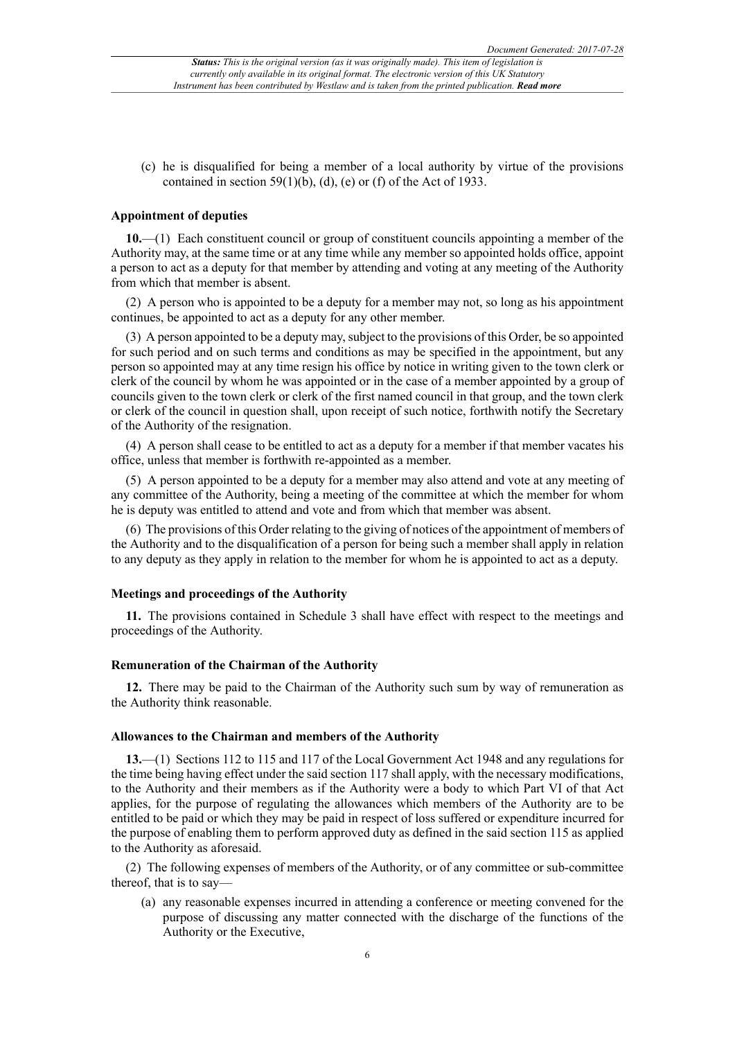(c) he is disqualified for being a member of a local authority by virtue of the provisions contained in section 59(1)(b), (d), (e) or (f) of the Act of 1933.

## **Appointment of deputies**

**10.**—(1) Each constituent council or group of constituent councils appointing a member of the Authority may, at the same time or at any time while any member so appointed holds office, appoint a person to act as a deputy for that member by attending and voting at any meeting of the Authority from which that member is absent.

(2) A person who is appointed to be a deputy for a member may not, so long as his appointment continues, be appointed to act as a deputy for any other member.

(3) A person appointed to be a deputy may,subject to the provisions of this Order, be so appointed for such period and on such terms and conditions as may be specified in the appointment, but any person so appointed may at any time resign his office by notice in writing given to the town clerk or clerk of the council by whom he was appointed or in the case of a member appointed by a group of councils given to the town clerk or clerk of the first named council in that group, and the town clerk or clerk of the council in question shall, upon receipt of such notice, forthwith notify the Secretary of the Authority of the resignation.

(4) A person shall cease to be entitled to act as a deputy for a member if that member vacates his office, unless that member is forthwith re-appointed as a member.

(5) A person appointed to be a deputy for a member may also attend and vote at any meeting of any committee of the Authority, being a meeting of the committee at which the member for whom he is deputy was entitled to attend and vote and from which that member was absent.

(6) The provisions of this Order relating to the giving of notices of the appointment of members of the Authority and to the disqualification of a person for being such a member shall apply in relation to any deputy as they apply in relation to the member for whom he is appointed to act as a deputy.

## **Meetings and proceedings of the Authority**

**11.** The provisions contained in Schedule 3 shall have effect with respect to the meetings and proceedings of the Authority.

#### **Remuneration of the Chairman of the Authority**

**12.** There may be paid to the Chairman of the Authority such sum by way of remuneration as the Authority think reasonable.

#### **Allowances to the Chairman and members of the Authority**

**13.**—(1) Sections 112 to 115 and 117 of the Local Government Act 1948 and any regulations for the time being having effect under the said section 117 shall apply, with the necessary modifications, to the Authority and their members as if the Authority were a body to which Part VI of that Act applies, for the purpose of regulating the allowances which members of the Authority are to be entitled to be paid or which they may be paid in respect of loss suffered or expenditure incurred for the purpose of enabling them to perform approved duty as defined in the said section 115 as applied to the Authority as aforesaid.

(2) The following expenses of members of the Authority, or of any committee or sub-committee thereof, that is to say—

(a) any reasonable expenses incurred in attending a conference or meeting convened for the purpose of discussing any matter connected with the discharge of the functions of the Authority or the Executive,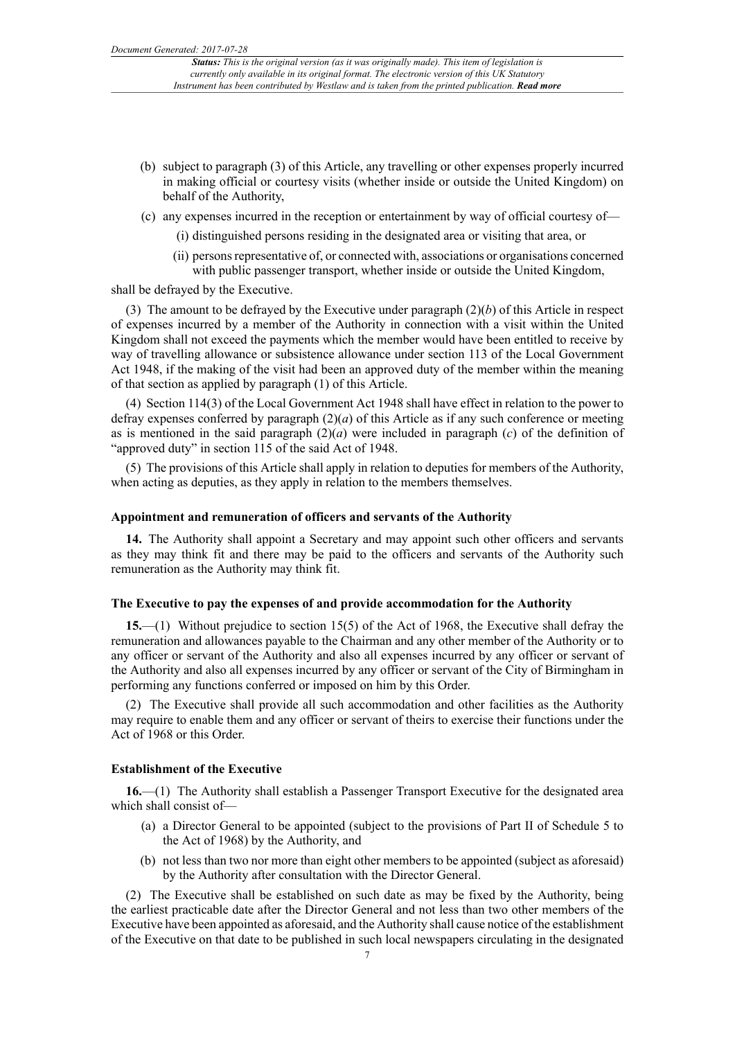- (b) subject to paragraph (3) of this Article, any travelling or other expenses properly incurred in making official or courtesy visits (whether inside or outside the United Kingdom) on behalf of the Authority,
- (c) any expenses incurred in the reception or entertainment by way of official courtesy of—
	- (i) distinguished persons residing in the designated area or visiting that area, or
	- (ii) personsrepresentative of, or connected with, associations or organisations concerned with public passenger transport, whether inside or outside the United Kingdom,

shall be defrayed by the Executive.

(3) The amount to be defrayed by the Executive under paragraph (2)(*b*) of this Article in respect of expenses incurred by a member of the Authority in connection with a visit within the United Kingdom shall not exceed the payments which the member would have been entitled to receive by way of travelling allowance or subsistence allowance under section 113 of the Local Government Act 1948, if the making of the visit had been an approved duty of the member within the meaning of that section as applied by paragraph (1) of this Article.

(4) Section 114(3) of the Local Government Act 1948 shall have effect in relation to the power to defray expenses conferred by paragraph  $(2)(a)$  of this Article as if any such conference or meeting as is mentioned in the said paragraph  $(2)(a)$  were included in paragraph  $(c)$  of the definition of "approved duty" in section 115 of the said Act of 1948.

(5) The provisions of this Article shall apply in relation to deputies for members of the Authority, when acting as deputies, as they apply in relation to the members themselves.

#### **Appointment and remuneration of officers and servants of the Authority**

**14.** The Authority shall appoint a Secretary and may appoint such other officers and servants as they may think fit and there may be paid to the officers and servants of the Authority such remuneration as the Authority may think fit.

#### **The Executive to pay the expenses of and provide accommodation for the Authority**

**15.**—(1) Without prejudice to section 15(5) of the Act of 1968, the Executive shall defray the remuneration and allowances payable to the Chairman and any other member of the Authority or to any officer or servant of the Authority and also all expenses incurred by any officer or servant of the Authority and also all expenses incurred by any officer or servant of the City of Birmingham in performing any functions conferred or imposed on him by this Order.

(2) The Executive shall provide all such accommodation and other facilities as the Authority may require to enable them and any officer or servant of theirs to exercise their functions under the Act of 1968 or this Order.

### **Establishment of the Executive**

**16.**—(1) The Authority shall establish a Passenger Transport Executive for the designated area which shall consist of—

- (a) a Director General to be appointed (subject to the provisions of Part II of Schedule 5 to the Act of 1968) by the Authority, and
- (b) not less than two nor more than eight other members to be appointed (subject as aforesaid) by the Authority after consultation with the Director General.

(2) The Executive shall be established on such date as may be fixed by the Authority, being the earliest practicable date after the Director General and not less than two other members of the Executive have been appointed as aforesaid, and the Authority shall cause notice of the establishment of the Executive on that date to be published in such local newspapers circulating in the designated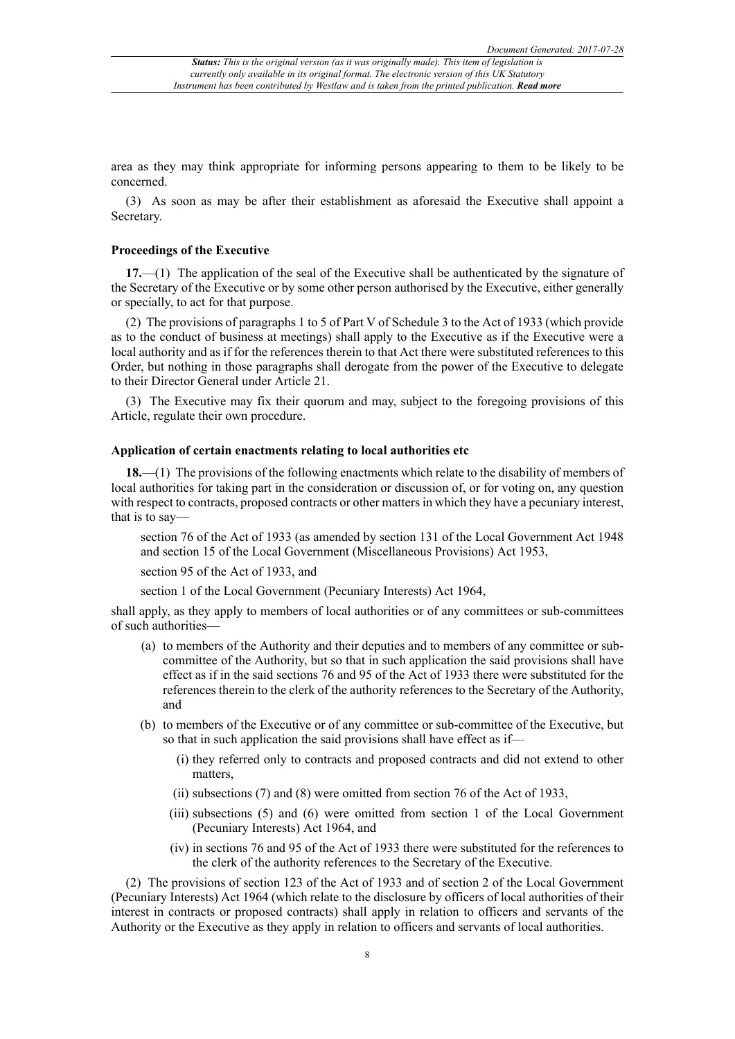area as they may think appropriate for informing persons appearing to them to be likely to be concerned.

(3) As soon as may be after their establishment as aforesaid the Executive shall appoint a Secretary.

## **Proceedings of the Executive**

**17.**—(1) The application of the seal of the Executive shall be authenticated by the signature of the Secretary of the Executive or by some other person authorised by the Executive, either generally or specially, to act for that purpose.

(2) The provisions of paragraphs 1 to 5 of Part V of Schedule 3 to the Act of 1933 (which provide as to the conduct of business at meetings) shall apply to the Executive as if the Executive were a local authority and as if for the references therein to that Act there were substituted references to this Order, but nothing in those paragraphs shall derogate from the power of the Executive to delegate to their Director General under Article 21.

(3) The Executive may fix their quorum and may, subject to the foregoing provisions of this Article, regulate their own procedure.

#### **Application of certain enactments relating to local authorities etc**

**18.**—(1) The provisions of the following enactments which relate to the disability of members of local authorities for taking part in the consideration or discussion of, or for voting on, any question with respect to contracts, proposed contracts or other matters in which they have a pecuniary interest, that is to say—

section 76 of the Act of 1933 (as amended by section 131 of the Local Government Act 1948 and section 15 of the Local Government (Miscellaneous Provisions) Act 1953,

section 95 of the Act of 1933, and

section 1 of the Local Government (Pecuniary Interests) Act 1964,

shall apply, as they apply to members of local authorities or of any committees or sub-committees of such authorities—

- (a) to members of the Authority and their deputies and to members of any committee or subcommittee of the Authority, but so that in such application the said provisions shall have effect as if in the said sections 76 and 95 of the Act of 1933 there were substituted for the references therein to the clerk of the authority references to the Secretary of the Authority, and
- (b) to members of the Executive or of any committee or sub-committee of the Executive, but so that in such application the said provisions shall have effect as if—
	- (i) they referred only to contracts and proposed contracts and did not extend to other matters,
	- (ii) subsections (7) and (8) were omitted from section 76 of the Act of 1933,
	- (iii) subsections (5) and (6) were omitted from section 1 of the Local Government (Pecuniary Interests) Act 1964, and
	- (iv) in sections 76 and 95 of the Act of 1933 there were substituted for the references to the clerk of the authority references to the Secretary of the Executive.

(2) The provisions of section 123 of the Act of 1933 and of section 2 of the Local Government (Pecuniary Interests) Act 1964 (which relate to the disclosure by officers of local authorities of their interest in contracts or proposed contracts) shall apply in relation to officers and servants of the Authority or the Executive as they apply in relation to officers and servants of local authorities.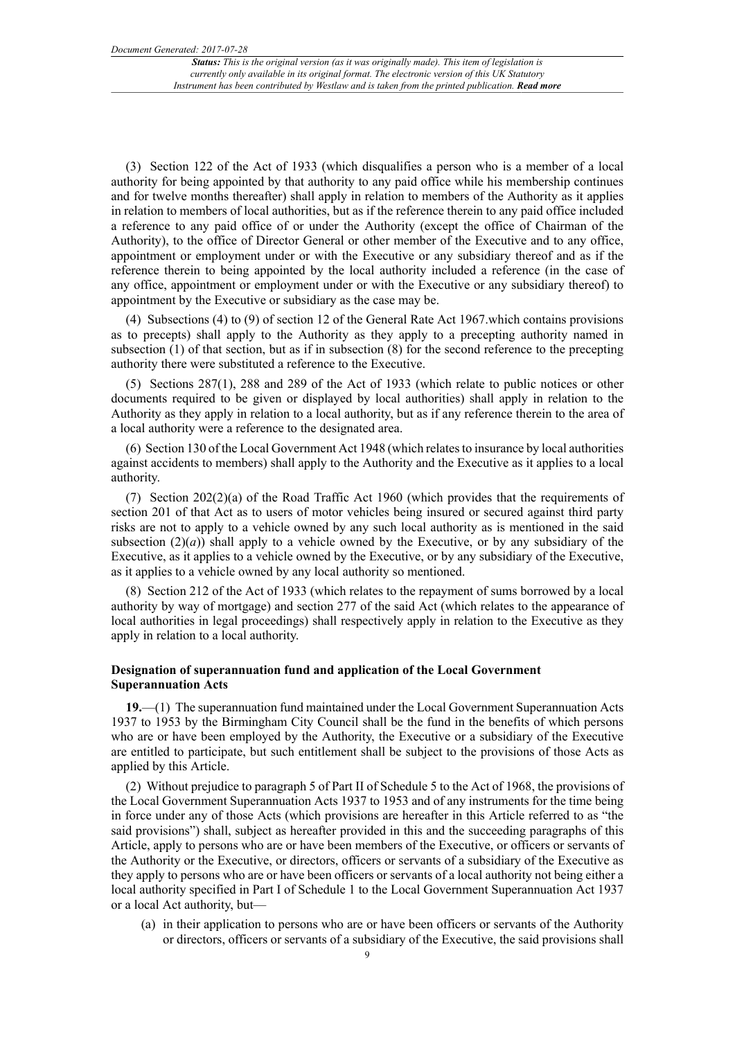(3) Section 122 of the Act of 1933 (which disqualifies a person who is a member of a local authority for being appointed by that authority to any paid office while his membership continues and for twelve months thereafter) shall apply in relation to members of the Authority as it applies in relation to members of local authorities, but as if the reference therein to any paid office included a reference to any paid office of or under the Authority (except the office of Chairman of the Authority), to the office of Director General or other member of the Executive and to any office, appointment or employment under or with the Executive or any subsidiary thereof and as if the reference therein to being appointed by the local authority included a reference (in the case of any office, appointment or employment under or with the Executive or any subsidiary thereof) to appointment by the Executive or subsidiary as the case may be.

(4) Subsections (4) to (9) of section 12 of the General Rate Act 1967.which contains provisions as to precepts) shall apply to the Authority as they apply to a precepting authority named in subsection (1) of that section, but as if in subsection (8) for the second reference to the precepting authority there were substituted a reference to the Executive.

(5) Sections 287(1), 288 and 289 of the Act of 1933 (which relate to public notices or other documents required to be given or displayed by local authorities) shall apply in relation to the Authority as they apply in relation to a local authority, but as if any reference therein to the area of a local authority were a reference to the designated area.

(6) Section 130 of the Local Government Act 1948 (which relates to insurance by local authorities against accidents to members) shall apply to the Authority and the Executive as it applies to a local authority.

(7) Section  $202(2)(a)$  of the Road Traffic Act 1960 (which provides that the requirements of section 201 of that Act as to users of motor vehicles being insured or secured against third party risks are not to apply to a vehicle owned by any such local authority as is mentioned in the said subsection  $(2)(a)$ ) shall apply to a vehicle owned by the Executive, or by any subsidiary of the Executive, as it applies to a vehicle owned by the Executive, or by any subsidiary of the Executive, as it applies to a vehicle owned by any local authority so mentioned.

(8) Section 212 of the Act of 1933 (which relates to the repayment of sums borrowed by a local authority by way of mortgage) and section 277 of the said Act (which relates to the appearance of local authorities in legal proceedings) shall respectively apply in relation to the Executive as they apply in relation to a local authority.

## **Designation of superannuation fund and application of the Local Government Superannuation Acts**

**19.**—(1) The superannuation fund maintained under the Local Government Superannuation Acts 1937 to 1953 by the Birmingham City Council shall be the fund in the benefits of which persons who are or have been employed by the Authority, the Executive or a subsidiary of the Executive are entitled to participate, but such entitlement shall be subject to the provisions of those Acts as applied by this Article.

(2) Without prejudice to paragraph 5 of Part II of Schedule 5 to the Act of 1968, the provisions of the Local Government Superannuation Acts 1937 to 1953 and of any instruments for the time being in force under any of those Acts (which provisions are hereafter in this Article referred to as "the said provisions") shall, subject as hereafter provided in this and the succeeding paragraphs of this Article, apply to persons who are or have been members of the Executive, or officers or servants of the Authority or the Executive, or directors, officers or servants of a subsidiary of the Executive as they apply to persons who are or have been officers or servants of a local authority not being either a local authority specified in Part I of Schedule 1 to the Local Government Superannuation Act 1937 or a local Act authority, but—

(a) in their application to persons who are or have been officers or servants of the Authority or directors, officers or servants of a subsidiary of the Executive, the said provisions shall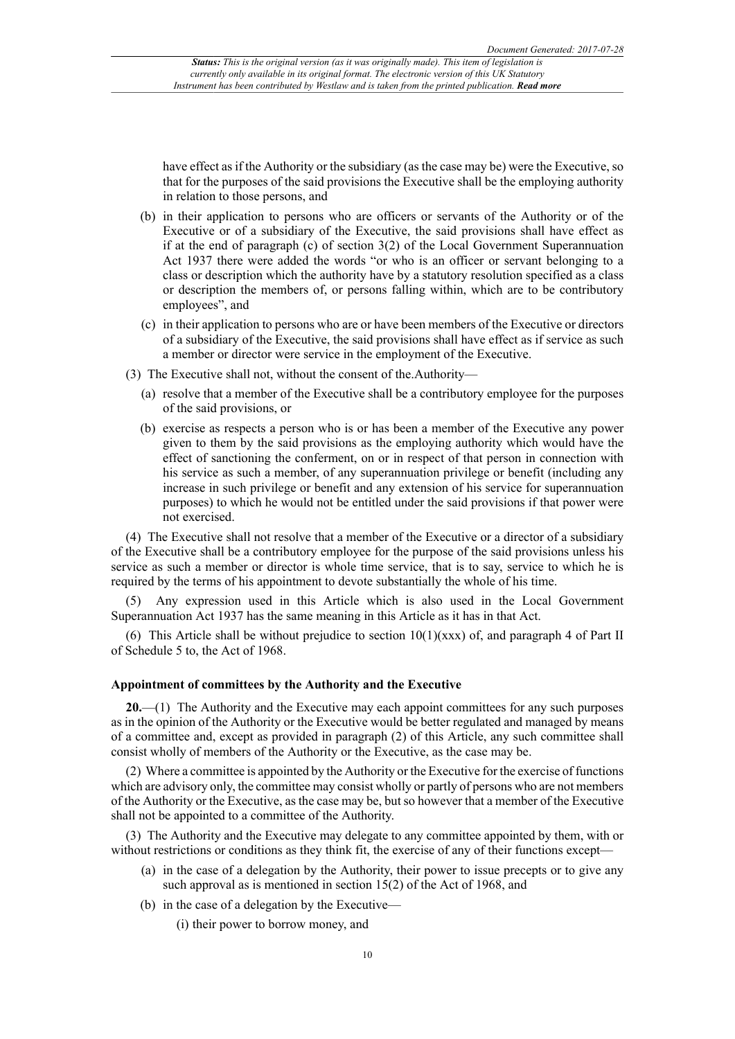have effect as if the Authority or the subsidiary (as the case may be) were the Executive, so that for the purposes of the said provisions the Executive shall be the employing authority in relation to those persons, and

- (b) in their application to persons who are officers or servants of the Authority or of the Executive or of a subsidiary of the Executive, the said provisions shall have effect as if at the end of paragraph (c) of section 3(2) of the Local Government Superannuation Act 1937 there were added the words "or who is an officer or servant belonging to a class or description which the authority have by a statutory resolution specified as a class or description the members of, or persons falling within, which are to be contributory employees", and
- (c) in their application to persons who are or have been members of the Executive or directors of a subsidiary of the Executive, the said provisions shall have effect as if service as such a member or director were service in the employment of the Executive.
- (3) The Executive shall not, without the consent of the.Authority—
	- (a) resolve that a member of the Executive shall be a contributory employee for the purposes of the said provisions, or
	- (b) exercise as respects a person who is or has been a member of the Executive any power given to them by the said provisions as the employing authority which would have the effect of sanctioning the conferment, on or in respect of that person in connection with his service as such a member, of any superannuation privilege or benefit (including any increase in such privilege or benefit and any extension of his service for superannuation purposes) to which he would not be entitled under the said provisions if that power were not exercised.

(4) The Executive shall not resolve that a member of the Executive or a director of a subsidiary of the Executive shall be a contributory employee for the purpose of the said provisions unless his service as such a member or director is whole time service, that is to say, service to which he is required by the terms of his appointment to devote substantially the whole of his time.

(5) Any expression used in this Article which is also used in the Local Government Superannuation Act 1937 has the same meaning in this Article as it has in that Act.

(6) This Article shall be without prejudice to section  $10(1)(xxx)$  of, and paragraph 4 of Part II of Schedule 5 to, the Act of 1968.

#### **Appointment of committees by the Authority and the Executive**

**20.**—(1) The Authority and the Executive may each appoint committees for any such purposes as in the opinion of the Authority or the Executive would be better regulated and managed by means of a committee and, except as provided in paragraph (2) of this Article, any such committee shall consist wholly of members of the Authority or the Executive, as the case may be.

(2) Where a committee is appointed by the Authority or the Executive for the exercise of functions which are advisory only, the committee may consist wholly or partly of persons who are not members of the Authority or the Executive, as the case may be, but so however that a member of the Executive shall not be appointed to a committee of the Authority.

(3) The Authority and the Executive may delegate to any committee appointed by them, with or without restrictions or conditions as they think fit, the exercise of any of their functions except—

- (a) in the case of a delegation by the Authority, their power to issue precepts or to give any such approval as is mentioned in section 15(2) of the Act of 1968, and
- (b) in the case of a delegation by the Executive—

(i) their power to borrow money, and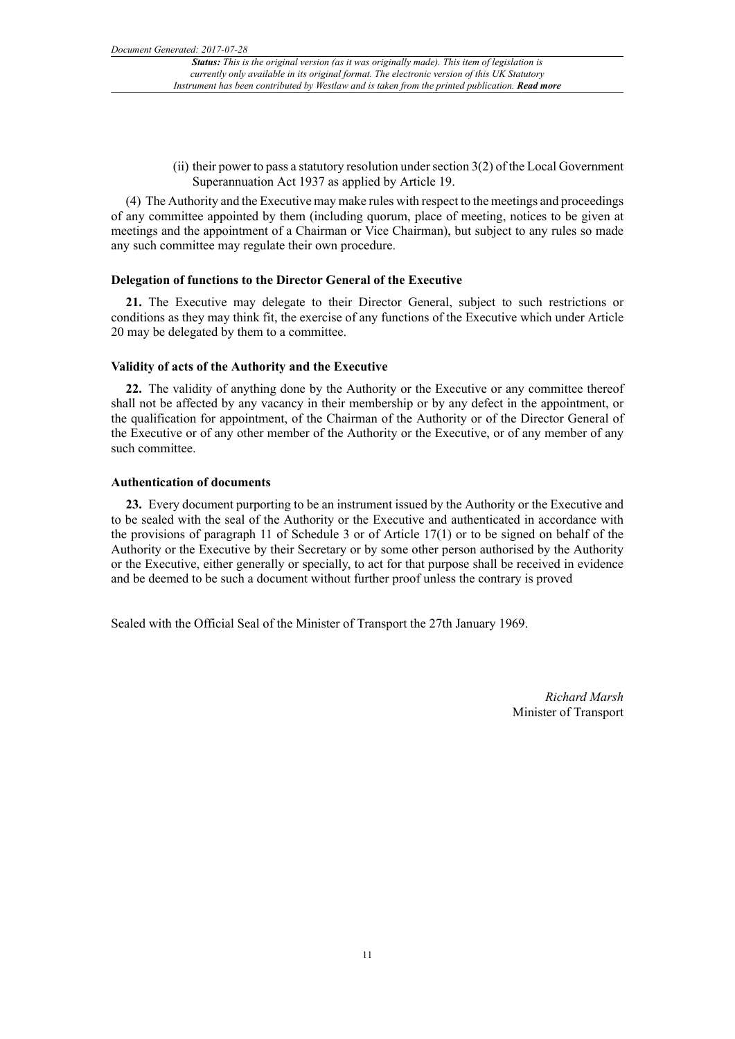(ii) their power to pass a statutory resolution under section 3(2) of the Local Government Superannuation Act 1937 as applied by Article 19.

(4) The Authority and the Executive may make rules with respect to the meetings and proceedings of any committee appointed by them (including quorum, place of meeting, notices to be given at meetings and the appointment of a Chairman or Vice Chairman), but subject to any rules so made any such committee may regulate their own procedure.

#### **Delegation of functions to the Director General of the Executive**

**21.** The Executive may delegate to their Director General, subject to such restrictions or conditions as they may think fit, the exercise of any functions of the Executive which under Article 20 may be delegated by them to a committee.

#### **Validity of acts of the Authority and the Executive**

**22.** The validity of anything done by the Authority or the Executive or any committee thereof shall not be affected by any vacancy in their membership or by any defect in the appointment, or the qualification for appointment, of the Chairman of the Authority or of the Director General of the Executive or of any other member of the Authority or the Executive, or of any member of any such committee.

## **Authentication of documents**

**23.** Every document purporting to be an instrument issued by the Authority or the Executive and to be sealed with the seal of the Authority or the Executive and authenticated in accordance with the provisions of paragraph 11 of Schedule 3 or of Article 17(1) or to be signed on behalf of the Authority or the Executive by their Secretary or by some other person authorised by the Authority or the Executive, either generally or specially, to act for that purpose shall be received in evidence and be deemed to be such a document without further proof unless the contrary is proved

Sealed with the Official Seal of the Minister of Transport the 27th January 1969.

*Richard Marsh* Minister of Transport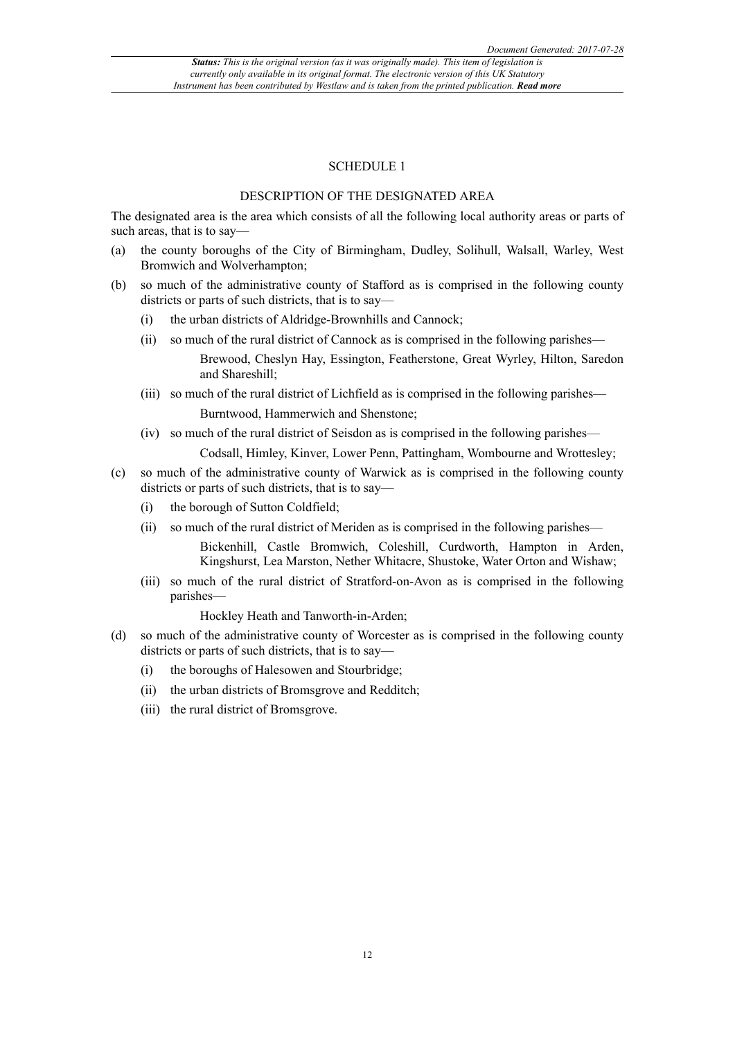### SCHEDULE 1

## DESCRIPTION OF THE DESIGNATED AREA

The designated area is the area which consists of all the following local authority areas or parts of such areas, that is to say—

- (a) the county boroughs of the City of Birmingham, Dudley, Solihull, Walsall, Warley, West Bromwich and Wolverhampton;
- (b) so much of the administrative county of Stafford as is comprised in the following county districts or parts of such districts, that is to say—
	- (i) the urban districts of Aldridge-Brownhills and Cannock;
	- (ii) so much of the rural district of Cannock as is comprised in the following parishes— Brewood, Cheslyn Hay, Essington, Featherstone, Great Wyrley, Hilton, Saredon and Shareshill;
	- (iii) so much of the rural district of Lichfield as is comprised in the following parishes— Burntwood, Hammerwich and Shenstone;
	- (iv) so much of the rural district of Seisdon as is comprised in the following parishes—

Codsall, Himley, Kinver, Lower Penn, Pattingham, Wombourne and Wrottesley;

- (c) so much of the administrative county of Warwick as is comprised in the following county districts or parts of such districts, that is to say—
	- (i) the borough of Sutton Coldfield;
	- (ii) so much of the rural district of Meriden as is comprised in the following parishes—

Bickenhill, Castle Bromwich, Coleshill, Curdworth, Hampton in Arden, Kingshurst, Lea Marston, Nether Whitacre, Shustoke, Water Orton and Wishaw;

(iii) so much of the rural district of Stratford-on-Avon as is comprised in the following parishes—

Hockley Heath and Tanworth-in-Arden;

- (d) so much of the administrative county of Worcester as is comprised in the following county districts or parts of such districts, that is to say—
	- (i) the boroughs of Halesowen and Stourbridge;
	- (ii) the urban districts of Bromsgrove and Redditch;
	- (iii) the rural district of Bromsgrove.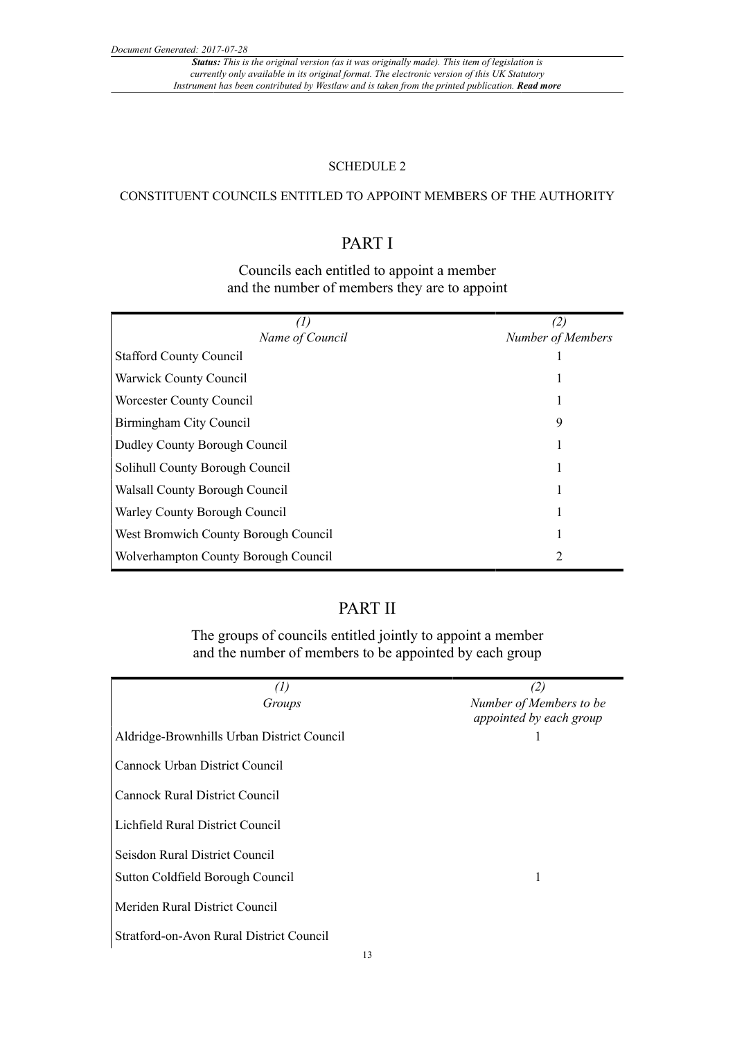*Status: This is the original version (as it was originally made). This item of legislation is currently only available in its original format. The electronic version of this UK Statutory Instrument has been contributed by Westlaw and is taken from the printed publication. Read more*

## SCHEDULE 2

## CONSTITUENT COUNCILS ENTITLED TO APPOINT MEMBERS OF THE AUTHORITY

## PART I

## Councils each entitled to appoint a member and the number of members they are to appoint

|                                       | (2)               |
|---------------------------------------|-------------------|
| Name of Council                       | Number of Members |
| <b>Stafford County Council</b>        |                   |
| Warwick County Council                | ı.                |
| <b>Worcester County Council</b>       |                   |
| Birmingham City Council               | 9                 |
| Dudley County Borough Council         |                   |
| Solihull County Borough Council       | л.                |
| <b>Walsall County Borough Council</b> |                   |
| Warley County Borough Council         |                   |
| West Bromwich County Borough Council  |                   |
| Wolverhampton County Borough Council  | 2                 |

## PART II

The groups of councils entitled jointly to appoint a member and the number of members to be appointed by each group

| $\left( l\right)$                          | (2)                     |
|--------------------------------------------|-------------------------|
| Groups                                     | Number of Members to be |
|                                            | appointed by each group |
| Aldridge-Brownhills Urban District Council |                         |
| Cannock Urban District Council             |                         |
| <b>Cannock Rural District Council</b>      |                         |
| Lichfield Rural District Council           |                         |
|                                            |                         |
| Seisdon Rural District Council             |                         |
| Sutton Coldfield Borough Council           |                         |
| Meriden Rural District Council             |                         |
| Stratford-on-Avon Rural District Council   |                         |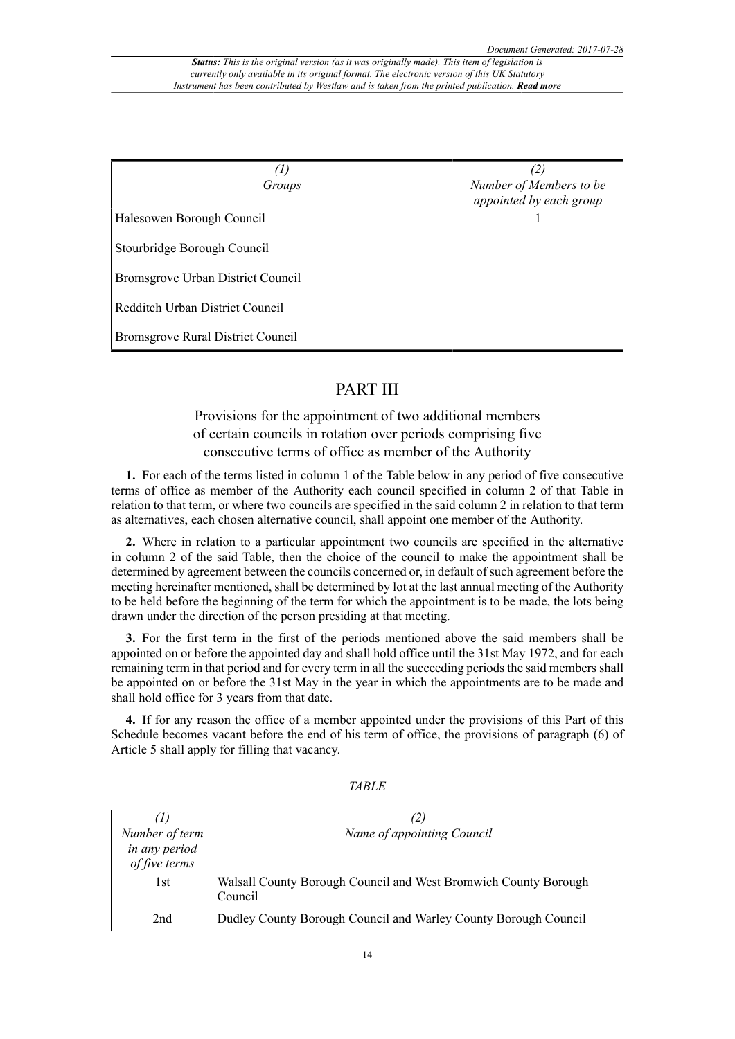| $\left( I\right)$                 | (2)                                                |  |
|-----------------------------------|----------------------------------------------------|--|
| Groups                            | Number of Members to be<br>appointed by each group |  |
| Halesowen Borough Council         |                                                    |  |
| Stourbridge Borough Council       |                                                    |  |
| Bromsgrove Urban District Council |                                                    |  |
| Redditch Urban District Council   |                                                    |  |
| Bromsgrove Rural District Council |                                                    |  |

## PART III

## Provisions for the appointment of two additional members of certain councils in rotation over periods comprising five consecutive terms of office as member of the Authority

**1.** For each of the terms listed in column 1 of the Table below in any period of five consecutive terms of office as member of the Authority each council specified in column 2 of that Table in relation to that term, or where two councils are specified in the said column 2 in relation to that term as alternatives, each chosen alternative council, shall appoint one member of the Authority.

**2.** Where in relation to a particular appointment two councils are specified in the alternative in column 2 of the said Table, then the choice of the council to make the appointment shall be determined by agreement between the councils concerned or, in default of such agreement before the meeting hereinafter mentioned, shall be determined by lot at the last annual meeting of the Authority to be held before the beginning of the term for which the appointment is to be made, the lots being drawn under the direction of the person presiding at that meeting.

**3.** For the first term in the first of the periods mentioned above the said members shall be appointed on or before the appointed day and shall hold office until the 31st May 1972, and for each remaining term in that period and for every term in all the succeeding periods the said members shall be appointed on or before the 31st May in the year in which the appointments are to be made and shall hold office for 3 years from that date.

**4.** If for any reason the office of a member appointed under the provisions of this Part of this Schedule becomes vacant before the end of his term of office, the provisions of paragraph (6) of Article 5 shall apply for filling that vacancy.

| (1)                                              | (2)                                                                        |
|--------------------------------------------------|----------------------------------------------------------------------------|
| Number of term<br>in any period<br>of five terms | Name of appointing Council                                                 |
| 1st                                              | Walsall County Borough Council and West Bromwich County Borough<br>Council |
| 2nd                                              | Dudley County Borough Council and Warley County Borough Council            |

*TABLE*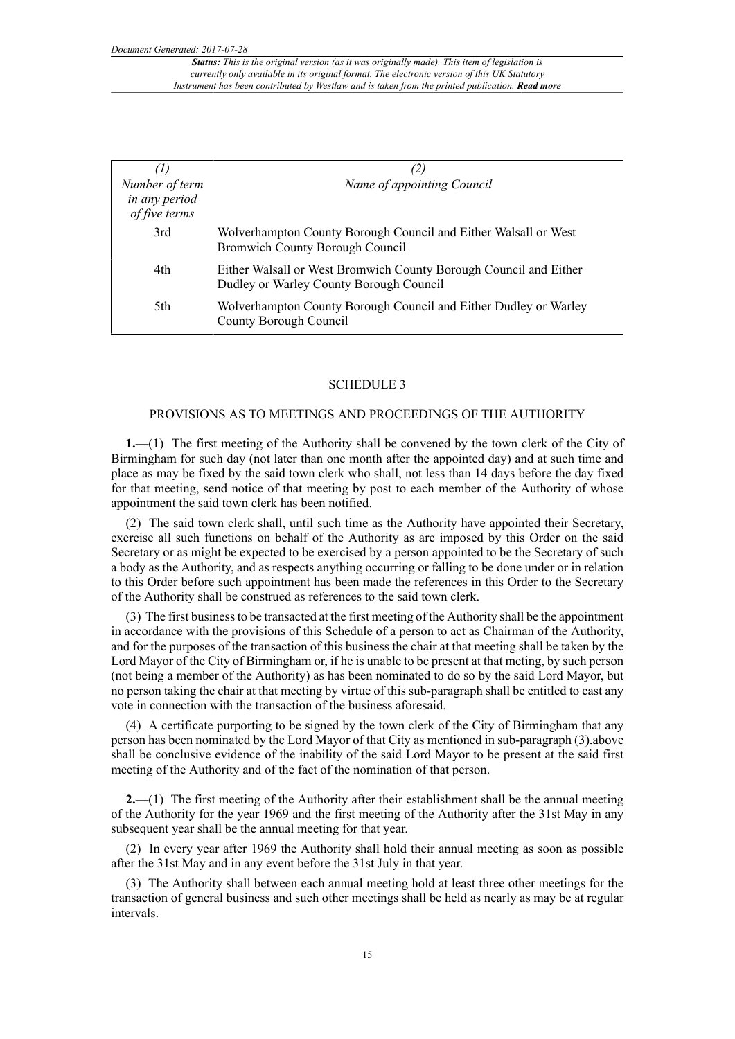*Document Generated: 2017-07-28*

| $\left( I\right)$                                |                                                                                                              |
|--------------------------------------------------|--------------------------------------------------------------------------------------------------------------|
| Number of term<br>in any period<br>of five terms | Name of appointing Council                                                                                   |
| 3rd                                              | Wolverhampton County Borough Council and Either Walsall or West<br><b>Bromwich County Borough Council</b>    |
| 4th                                              | Either Walsall or West Bromwich County Borough Council and Either<br>Dudley or Warley County Borough Council |
| 5th                                              | Wolverhampton County Borough Council and Either Dudley or Warley<br>County Borough Council                   |

#### SCHEDULE 3

## PROVISIONS AS TO MEETINGS AND PROCEEDINGS OF THE AUTHORITY

**1.**—(1) The first meeting of the Authority shall be convened by the town clerk of the City of Birmingham for such day (not later than one month after the appointed day) and at such time and place as may be fixed by the said town clerk who shall, not less than 14 days before the day fixed for that meeting, send notice of that meeting by post to each member of the Authority of whose appointment the said town clerk has been notified.

(2) The said town clerk shall, until such time as the Authority have appointed their Secretary, exercise all such functions on behalf of the Authority as are imposed by this Order on the said Secretary or as might be expected to be exercised by a person appointed to be the Secretary of such a body as the Authority, and as respects anything occurring or falling to be done under or in relation to this Order before such appointment has been made the references in this Order to the Secretary of the Authority shall be construed as references to the said town clerk.

(3) The first business to be transacted at the first meeting of the Authority shall be the appointment in accordance with the provisions of this Schedule of a person to act as Chairman of the Authority, and for the purposes of the transaction of this business the chair at that meeting shall be taken by the Lord Mayor of the City of Birmingham or, if he is unable to be present at that meting, by such person (not being a member of the Authority) as has been nominated to do so by the said Lord Mayor, but no person taking the chair at that meeting by virtue of this sub-paragraph shall be entitled to cast any vote in connection with the transaction of the business aforesaid.

(4) A certificate purporting to be signed by the town clerk of the City of Birmingham that any person has been nominated by the Lord Mayor of that City as mentioned in sub-paragraph (3).above shall be conclusive evidence of the inability of the said Lord Mayor to be present at the said first meeting of the Authority and of the fact of the nomination of that person.

**2.**—(1) The first meeting of the Authority after their establishment shall be the annual meeting of the Authority for the year 1969 and the first meeting of the Authority after the 31st May in any subsequent year shall be the annual meeting for that year.

(2) In every year after 1969 the Authority shall hold their annual meeting as soon as possible after the 31st May and in any event before the 31st July in that year.

(3) The Authority shall between each annual meeting hold at least three other meetings for the transaction of general business and such other meetings shall be held as nearly as may be at regular intervals.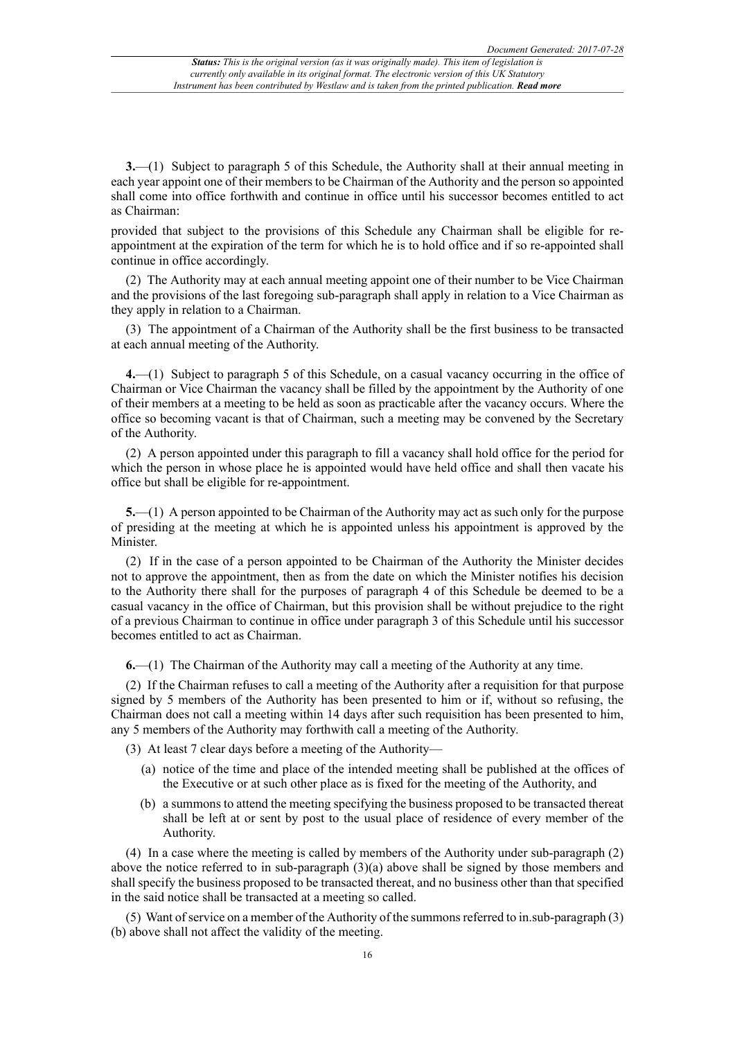**3.**—(1) Subject to paragraph 5 of this Schedule, the Authority shall at their annual meeting in each year appoint one of their members to be Chairman of the Authority and the person so appointed shall come into office forthwith and continue in office until his successor becomes entitled to act as Chairman:

provided that subject to the provisions of this Schedule any Chairman shall be eligible for reappointment at the expiration of the term for which he is to hold office and if so re-appointed shall continue in office accordingly.

(2) The Authority may at each annual meeting appoint one of their number to be Vice Chairman and the provisions of the last foregoing sub-paragraph shall apply in relation to a Vice Chairman as they apply in relation to a Chairman.

(3) The appointment of a Chairman of the Authority shall be the first business to be transacted at each annual meeting of the Authority.

**4.**—(1) Subject to paragraph 5 of this Schedule, on a casual vacancy occurring in the office of Chairman or Vice Chairman the vacancy shall be filled by the appointment by the Authority of one of their members at a meeting to be held as soon as practicable after the vacancy occurs. Where the office so becoming vacant is that of Chairman, such a meeting may be convened by the Secretary of the Authority.

(2) A person appointed under this paragraph to fill a vacancy shall hold office for the period for which the person in whose place he is appointed would have held office and shall then vacate his office but shall be eligible for re-appointment.

**5.**—(1) A person appointed to be Chairman of the Authority may act as such only for the purpose of presiding at the meeting at which he is appointed unless his appointment is approved by the Minister.

(2) If in the case of a person appointed to be Chairman of the Authority the Minister decides not to approve the appointment, then as from the date on which the Minister notifies his decision to the Authority there shall for the purposes of paragraph 4 of this Schedule be deemed to be a casual vacancy in the office of Chairman, but this provision shall be without prejudice to the right of a previous Chairman to continue in office under paragraph 3 of this Schedule until his successor becomes entitled to act as Chairman.

**6.**—(1) The Chairman of the Authority may call a meeting of the Authority at any time.

(2) If the Chairman refuses to call a meeting of the Authority after a requisition for that purpose signed by 5 members of the Authority has been presented to him or if, without so refusing, the Chairman does not call a meeting within 14 days after such requisition has been presented to him, any 5 members of the Authority may forthwith call a meeting of the Authority.

(3) At least 7 clear days before a meeting of the Authority—

- (a) notice of the time and place of the intended meeting shall be published at the offices of the Executive or at such other place as is fixed for the meeting of the Authority, and
- (b) a summons to attend the meeting specifying the business proposed to be transacted thereat shall be left at or sent by post to the usual place of residence of every member of the Authority.

(4) In a case where the meeting is called by members of the Authority under sub-paragraph (2) above the notice referred to in sub-paragraph  $(3)(a)$  above shall be signed by those members and shall specify the business proposed to be transacted thereat, and no business other than that specified in the said notice shall be transacted at a meeting so called.

(5) Want of service on a member of the Authority of the summons referred to in.sub-paragraph  $(3)$ (b) above shall not affect the validity of the meeting.